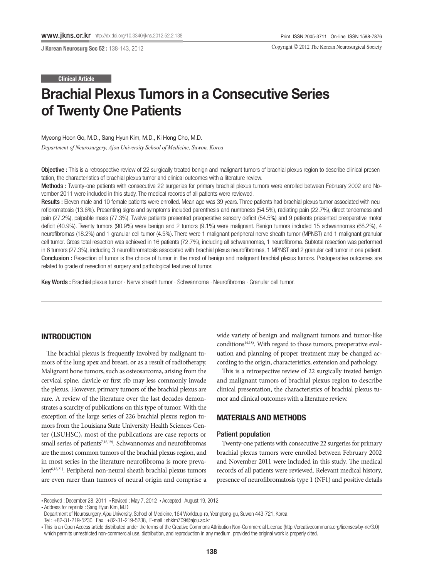J Korean Neurosurg Soc 52 : 138-143, 2012

Copyright © 2012 The Korean Neurosurgical Society

#### Clinical Article

# Brachial Plexus Tumors in a Consecutive Series of Twenty One Patients

Myeong Hoon Go, M.D., Sang Hyun Kim, M.D., Ki Hong Cho, M.D.

*Department of Neurosurgery, Ajou University School of Medicine, Suwon, Korea* 

Objective : This is a retrospective review of 22 surgically treated benign and malignant tumors of brachial plexus region to describe clinical presentation, the characteristics of brachial plexus tumor and clinical outcomes with a literature review.

Methods : Twenty-one patients with consecutive 22 surgeries for primary brachial plexus tumors were enrolled between February 2002 and November 2011 were included in this study. The medical records of all patients were reviewed.

Results : Eleven male and 10 female patients were enrolled. Mean age was 39 years. Three patients had brachial plexus tumor associated with neurofibromatosis (13.6%). Presenting signs and symptoms included parenthesis and numbness (54.5%), radiating pain (22.7%), direct tenderness and pain (27.2%), palpable mass (77.3%). Twelve patients presented preoperative sensory deficit (54.5%) and 9 patients presented preoperative motor deficit (40.9%). Twenty tumors (90.9%) were benign and 2 tumors (9.1%) were malignant. Benign tumors included 15 schwannomas (68.2%), 4 neurofibromas (18.2%) and 1 granular cell tumor (4.5%). There were 1 malignant peripheral nerve sheath tumor (MPNST) and 1 malignant granular cell tumor. Gross total resection was achieved in 16 patients (72.7%), including all schwannomas, 1 neurofibroma. Subtotal resection was performed in 6 tumors (27.3%), including 3 neurofibromatosis associated with brachial plexus neurofibromas, 1 MPNST and 2 granular cell tumor in one patient. Conclusion : Resection of tumor is the choice of tumor in the most of benign and malignant brachial plexus tumors. Postoperative outcomes are related to grade of resection at surgery and pathological features of tumor.

Key Words : Brachial plexus tumor · Nerve sheath tumor · Schwannoma · Neurofibroma · Granular cell tumor.

# INTRODUCTION

The brachial plexus is frequently involved by malignant tumors of the lung apex and breast, or as a result of radiotherapy. Malignant bone tumors, such as osteosarcoma, arising from the cervical spine, clavicle or first rib may less commonly invade the plexus. However, primary tumors of the brachial plexus are rare. A review of the literature over the last decades demonstrates a scarcity of publications on this type of tumor. With the exception of the large series of 226 brachial plexus region tumors from the Louisiana State University Health Sciences Center (LSUHSC), most of the publications are case reports or small series of patients<sup>7,18,19)</sup>. Schwannomas and neurofibromas are the most common tumors of the brachial plexus region, and in most series in the literature neurofibroma is more prevalent6,18,21). Peripheral non-neural sheath brachial plexus tumors are even rarer than tumors of neural origin and comprise a

wide variety of benign and malignant tumors and tumor-like conditions<sup>14,18)</sup>. With regard to those tumors, preoperative evaluation and planning of proper treatment may be changed according to the origin, characteristics, extension and pathology.

This is a retrospective review of 22 surgically treated benign and malignant tumors of brachial plexus region to describe clinical presentation, the characteristics of brachial plexus tumor and clinical outcomes with a literature review.

## MATERIALS AND METHODS

## Patient population

Twenty-one patients with consecutive 22 surgeries for primary brachial plexus tumors were enrolled between February 2002 and November 2011 were included in this study. The medical records of all patients were reviewed. Relevant medical history, presence of neurofibromatosis type 1 (NF1) and positive details

<sup>•</sup> Received : December 28, 2011 • Revised : May 7, 2012 • Accepted : August 19, 2012

<sup>•</sup> Address for reprints : Sang Hyun Kim, M.D.

Department of Neurosurgery, Ajou University, School of Medicine, 164 Worldcup-ro, Yeongtong-gu, Suwon 443-721, Korea

Tel : +82-31-219-5230, Fax : +82-31-219-5238, E-mail : shkim709@ajou.ac.kr

<sup>•</sup> This is an Open Access article distributed under the terms of the Creative Commons Attribution Non-Commercial License (http://creativecommons.org/licenses/by-nc/3.0) which permits unrestricted non-commercial use, distribution, and reproduction in any medium, provided the original work is properly cited.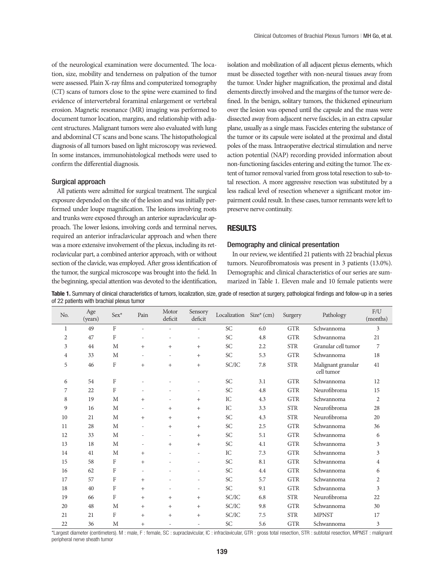of the neurological examination were documented. The location, size, mobility and tenderness on palpation of the tumor were assessed. Plain X-ray films and computerized tomography (CT) scans of tumors close to the spine were examined to find evidence of intervertebral foraminal enlargement or vertebral erosion. Magnetic resonance (MR) imaging was performed to document tumor location, margins, and relationship with adjacent structures. Malignant tumors were also evaluated with lung and abdominal CT scans and bone scans. The histopathological diagnosis of all tumors based on light microscopy was reviewed. In some instances, immunohistological methods were used to confirm the differential diagnosis.

#### Surgical approach

All patients were admitted for surgical treatment. The surgical exposure depended on the site of the lesion and was initially performed under loupe magnification. The lesions involving roots and trunks were exposed through an anterior supraclavicular approach. The lower lesions, involving cords and terminal nerves, required an anterior infraclavicular approach and when there was a more extensive involvement of the plexus, including its retroclavicular part, a combined anterior approach, with or without section of the clavicle, was employed. After gross identification of the tumor, the surgical microscope was brought into the field. In the beginning, special attention was devoted to the identification, isolation and mobilization of all adjacent plexus elements, which must be dissected together with non-neural tissues away from the tumor. Under higher magnification, the proximal and distal elements directly involved and the margins of the tumor were defined. In the benign, solitary tumors, the thickened epineurium over the lesion was opened until the capsule and the mass were dissected away from adjacent nerve fascicles, in an extra capsular plane, usually as a single mass. Fascicles entering the substance of the tumor or its capsule were isolated at the proximal and distal poles of the mass. Intraoperative electrical stimulation and nerve action potential (NAP) recording provided information about non-functioning fascicles entering and exiting the tumor. The extent of tumor removal varied from gross total resection to sub-total resection. A more aggressive resection was substituted by a less radical level of resection whenever a significant motor impairment could result. In these cases, tumor remnants were left to preserve nerve continuity.

# RESULTS

## Demography and clinical presentation

In our review, we identified 21 patients with 22 brachial plexus tumors. Neurofibromatosis was present in 3 patients (13.0%). Demographic and clinical characteristics of our series are summarized in Table 1. Eleven male and 10 female patients were

Table 1. Summary of clinical characteristics of tumors, localization, size, grade of resection at surgery, pathological findings and follow-up in a series of 22 patients with brachial plexus tumor

| No.            | Age<br>(years) | $Sex*$         | Pain   | Motor<br>deficit | Sensory<br>deficit       | Localization               | $Size^*(cm)$ | Surgery    | Pathology                        | F/U<br>(months) |
|----------------|----------------|----------------|--------|------------------|--------------------------|----------------------------|--------------|------------|----------------------------------|-----------------|
| $\mathbf{1}$   | 49             | $\mathbf{F}$   |        |                  |                          | <b>SC</b>                  | 6.0          | <b>GTR</b> | Schwannoma                       | 3               |
| $\overline{2}$ | 47             | F              |        |                  | ÷                        | <b>SC</b>                  | 4.8          | <b>GTR</b> | Schwannoma                       | 21              |
| 3              | 44             | M              | $+$    | $^{+}$           | $^{+}$                   | <b>SC</b>                  | 2.2          | <b>STR</b> | Granular cell tumor              | $\overline{7}$  |
| 4              | 33             | M              |        |                  | $^{+}$                   | $\ensuremath{\mathsf{SC}}$ | 5.3          | <b>GTR</b> | Schwannoma                       | 18              |
| 5              | 46             | F              | $+$    | $^{+}$           | $^{+}$                   | SC/IC                      | 7.8          | <b>STR</b> | Malignant granular<br>cell tumor | 41              |
| 6              | 54             | F              |        |                  |                          | <b>SC</b>                  | 3.1          | <b>GTR</b> | Schwannoma                       | 12              |
| 7              | 22             | $\overline{F}$ |        |                  | ۰                        | <b>SC</b>                  | 4.8          | <b>GTR</b> | Neurofibroma                     | 15              |
| 8              | 19             | M              | $+$    |                  | $^{+}$                   | ${\rm IC}$                 | 4.3          | <b>GTR</b> | Schwannoma                       | $\overline{2}$  |
| 9              | 16             | M              |        | $^{+}$           | $^{+}$                   | IC                         | 3.3          | <b>STR</b> | Neurofibroma                     | 28              |
| 10             | 21             | M              | $+$    | $+$              | $^{+}$                   | <b>SC</b>                  | 4.3          | <b>STR</b> | Neurofibroma                     | 20              |
| 11             | 28             | M              |        | $^{+}$           | $^{+}$                   | $\ensuremath{\mathsf{SC}}$ | 2.5          | <b>GTR</b> | Schwannoma                       | 36              |
| 12             | 33             | $\mathbf M$    |        |                  | $^{+}$                   | <b>SC</b>                  | 5.1          | <b>GTR</b> | Schwannoma                       | 6               |
| 13             | 18             | M              |        | $^{+}$           | $^{+}$                   | <b>SC</b>                  | 4.1          | <b>GTR</b> | Schwannoma                       | 3               |
| 14             | 41             | M              | $+$    |                  | ÷,                       | IC                         | 7.3          | <b>GTR</b> | Schwannoma                       | 3               |
| 15             | 58             | F              | $+$    |                  |                          | $\ensuremath{\mathsf{SC}}$ | 8.1          | <b>GTR</b> | Schwannoma                       | $\overline{4}$  |
| 16             | 62             | F              |        |                  | ÷,                       | <b>SC</b>                  | 4.4          | <b>GTR</b> | Schwannoma                       | 6               |
| 17             | 57             | F              | $+$    |                  | ÷,                       | <b>SC</b>                  | 5.7          | <b>GTR</b> | Schwannoma                       | $\overline{2}$  |
| 18             | 40             | F              | $^{+}$ |                  | $\overline{\phantom{0}}$ | $\ensuremath{\mathsf{SC}}$ | 9.1          | <b>GTR</b> | Schwannoma                       | 3               |
| 19             | 66             | F              | $^{+}$ | $+$              | $^{+}$                   | SC/IC                      | 6.8          | <b>STR</b> | Neurofibroma                     | 22              |
| 20             | 48             | M              | $^{+}$ | $^{+}$           | $^{+}$                   | SC/IC                      | 9.8          | <b>GTR</b> | Schwannoma                       | 30              |
| 21             | 21             | F              | $+$    | $+$              | $+$                      | SC/IC                      | 7.5          | <b>STR</b> | <b>MPNST</b>                     | 17              |
| 22             | 36             | M              | $^{+}$ |                  |                          | <b>SC</b>                  | 5.6          | <b>GTR</b> | Schwannoma                       | 3               |

\*Largest diameter (centimeters). M : male, F : female, SC : supraclavicular, IC : infraclavicular, GTR : gross total resection, STR : subtotal resection, MPNST : malignant peripheral nerve sheath tumor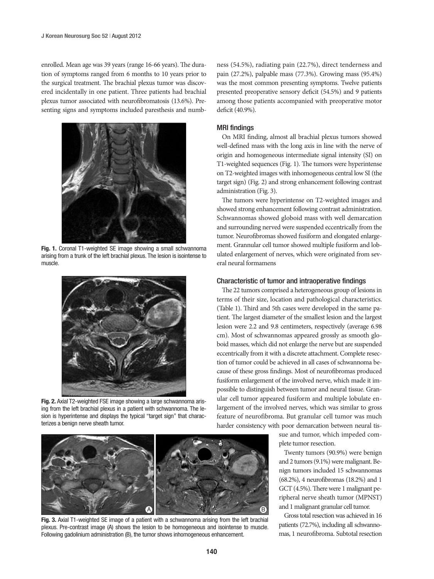enrolled. Mean age was 39 years (range 16-66 years). The duration of symptoms ranged from 6 months to 10 years prior to the surgical treatment. The brachial plexus tumor was discovered incidentally in one patient. Three patients had brachial plexus tumor associated with neurofibromatosis (13.6%). Presenting signs and symptoms included paresthesis and numb-



Fig. 1. Coronal T1-weighted SE image showing a small schwannoma arising from a trunk of the left brachial plexus. The lesion is isointense to muscle.



Fig. 2. Axial T2-weighted FSE image showing a large schwannoma arising from the left brachial plexus in a patient with schwannoma. The lesion is hyperintense and displays the typical "target sign" that characterizes a benign nerve sheath tumor.

ness (54.5%), radiating pain (22.7%), direct tenderness and pain (27.2%), palpable mass (77.3%). Growing mass (95.4%) was the most common presenting symptoms. Twelve patients presented preoperative sensory deficit (54.5%) and 9 patients among those patients accompanied with preoperative motor deficit (40.9%).

## MRI findings

On MRI finding, almost all brachial plexus tumors showed well-defined mass with the long axis in line with the nerve of origin and homogeneous intermediate signal intensity (SI) on T1-weighted sequences (Fig. 1). The tumors were hyperintense on T2-weighted images with inhomogeneous central low SI (the target sign) (Fig. 2) and strong enhancement following contrast administration (Fig. 3).

The tumors were hyperintense on T2-weighted images and showed strong enhancement following contrast administration. Schwannomas showed globoid mass with well demarcation and surrounding nerved were suspended eccentrically from the tumor. Neurofibromas showed fusiform and elongated enlargement. Grannular cell tumor showed multiple fusiform and lobulated enlargement of nerves, which were originated from several neural formamens

## Characteristic of tumor and intraoperative findings

The 22 tumors comprised a heterogeneous group of lesions in terms of their size, location and pathological characteristics. (Table 1). Third and 5th cases were developed in the same patient. The largest diameter of the smallest lesion and the largest lesion were 2.2 and 9.8 centimeters, respectively (average 6.98 cm). Most of schwannomas appeared grossly as smooth globoid masses, which did not enlarge the nerve but are suspended eccentrically from it with a discrete attachment. Complete resection of tumor could be achieved in all cases of schwannoma because of these gross findings. Most of neurofibromas produced fusiform enlargement of the involved nerve, which made it impossible to distinguish between tumor and neural tissue. Granular cell tumor appeared fusiform and multiple lobulate enlargement of the involved nerves, which was similar to gross feature of neurofibroma. But granular cell tumor was much harder consistency with poor demarcation between neural tis-

> sue and tumor, which impeded complete tumor resection.

Twenty tumors (90.9%) were benign and 2 tumors (9.1%) were malignant. Benign tumors included 15 schwannomas (68.2%), 4 neurofibromas (18.2%) and 1 GCT (4.5%). There were 1 malignant peripheral nerve sheath tumor (MPNST) and 1 malignant granular cell tumor.

Gross total resection was achieved in 16 patients (72.7%), including all schwannomas, 1 neurofibroma. Subtotal resection



Fig. 3. Axial T1-weighted SE image of a patient with a schwannoma arising from the left brachial plexus. Pre-contrast image (A) shows the lesion to be homogeneous and isointense to muscle. Following gadolinium administration (B), the tumor shows inhomogeneous enhancement.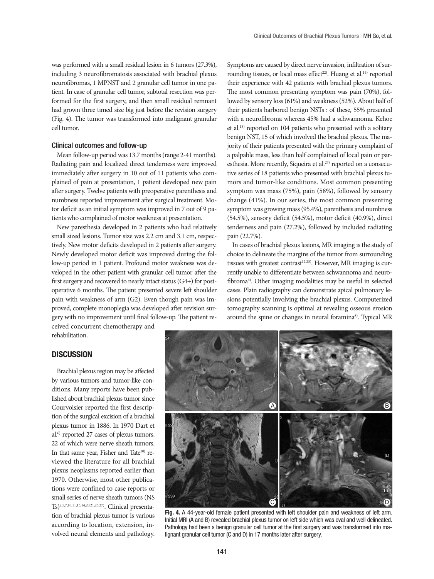was performed with a small residual lesion in 6 tumors (27.3%), including 3 neurofibromatosis associated with brachial plexus neurofibromas, 1 MPNST and 2 granular cell tumor in one patient. In case of granular cell tumor, subtotal resection was performed for the first surgery, and then small residual remnant had grown three timed size big just before the revision surgery (Fig. 4). The tumor was transformed into malignant granular cell tumor.

## Clinical outcomes and follow-up

Mean follow-up period was 13.7 months (range 2-41 months). Radiating pain and localized direct tenderness were improved immediately after surgery in 10 out of 11 patients who complained of pain at presentation, 1 patient developed new pain after surgery. Twelve patients with preoperative parenthesis and numbness reported improvement after surgical treatment. Motor deficit as an initial symptom was improved in 7 out of 9 patients who complained of motor weakness at presentation.

New paresthesia developed in 2 patients who had relatively small sized lesions. Tumor size was 2.2 cm and 3.1 cm, respectively. New motor deficits developed in 2 patients after surgery. Newly developed motor deficit was improved during the follow-up period in 1 patient. Profound motor weakness was developed in the other patient with granular cell tumor after the first surgery and recovered to nearly intact status (G4+) for postoperative 6 months. The patient presented severe left shoulder pain with weakness of arm (G2). Even though pain was improved, complete monoplegia was developed after revision surgery with no improvement until final follow-up. The patient re-

ceived concurrent chemotherapy and rehabilitation.

# **DISCUSSION**

Brachial plexus region may be affected by various tumors and tumor-like conditions. Many reports have been published about brachial plexus tumor since Courvoisier reported the first description of the surgical excision of a brachial plexus tumor in 1886. In 1970 Dart et al.6) reported 27 cases of plexus tumors, 22 of which were nerve sheath tumors. In that same year, Fisher and Tate<sup>10)</sup> reviewed the literature for all brachial plexus neoplasms reported earlier than 1970. Otherwise, most other publications were confined to case reports or small series of nerve sheath tumors (NS Ts)2,5,7,10,11,13,14,20,21,26,27). Clinical presentation of brachial plexus tumor is various according to location, extension, involved neural elements and pathology. Symptoms are caused by direct nerve invasion, infiltration of surrounding tissues, or local mass effect<sup>22)</sup>. Huang et al.<sup>14)</sup> reported their experience with 42 patients with brachial plexus tumors. The most common presenting symptom was pain (70%), followed by sensory loss (61%) and weakness (52%). About half of their patients harbored benign NSTs : of these, 55% presented with a neurofibroma whereas 45% had a schwannoma. Kehoe et al.15) reported on 104 patients who presented with a solitary benign NST, 15 of which involved the brachial plexus. The majority of their patients presented with the primary complaint of a palpable mass, less than half complained of local pain or paresthesia. More recently, Siqueira et al.<sup>27)</sup> reported on a consecutive series of 18 patients who presented with brachial plexus tumors and tumor-like conditions. Most common presenting symptom was mass (75%), pain (58%), followed by sensory change (41%). In our series, the most common presenting symptom was growing mass (95.4%), parenthesis and numbness (54.5%), sensory deficit (54.5%), motor deficit (40.9%), direct tenderness and pain (27.2%), followed by included radiating pain (22.7%).

In cases of brachial plexus lesions, MR imaging is the study of choice to delineate the margins of the tumor from surrounding tissues with greatest contrast<sup>12,23)</sup>. However, MR imaging is currently unable to differentiate between schwannoma and neurofibroma4). Other imaging modalities may be useful in selected cases. Plain radiography can demonstrate apical pulmonary lesions potentially involving the brachial plexus. Computerized tomography scanning is optimal at revealing osseous erosion around the spine or changes in neural foramina<sup>8)</sup>. Typical MR



Fig. 4. A 44-year-old female patient presented with left shoulder pain and weakness of left arm. Initial MRI (A and B) revealed brachial plexus tumor on left side which was oval and well delineated. Pathology had been a benign granular cell tumor at the first surgery and was transformed into malignant granular cell tumor (C and D) in 17 months later after surgery.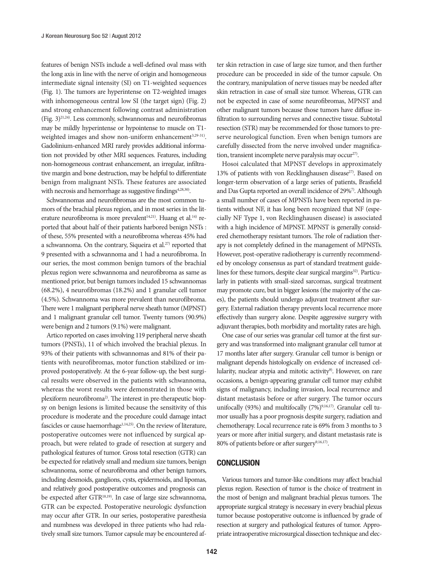features of benign NSTs include a well-defined oval mass with the long axis in line with the nerve of origin and homogeneous intermediate signal intensity (SI) on T1-weighted sequences (Fig. 1). The tumors are hyperintense on T2-weighted images with inhomogeneous central low SI (the target sign) (Fig. 2) and strong enhancement following contrast administration (Fig. 3)21,24). Less commonly, schwannomas and neurofibromas may be mildly hyperintense or hypointense to muscle on T1 weighted images and show non-uniform enhancement<sup>3,29-31)</sup>. Gadolinium-enhanced MRI rarely provides additional information not provided by other MRI sequences. Features, including non-homogeneous contrast enhancement, an irregular, infiltrative margin and bone destruction, may be helpful to differentiate benign from malignant NSTs. These features are associated with necrosis and hemorrhage as suggestive findings<sup>4,28,30</sup>.

Schwannomas and neurofibromas are the most common tumors of the brachial plexus region, and in most series in the literature neurofibroma is more prevalent<sup>14,21)</sup>. Huang et al.<sup>14)</sup> reported that about half of their patients harbored benign NSTs : of these, 55% presented with a neurofibroma whereas 45% had a schwannoma. On the contrary, Siqueira et al.<sup>27)</sup> reported that 9 presented with a schwannoma and 1 had a neurofibroma. In our series, the most common benign tumors of the brachial plexus region were schwannoma and neurofibroma as same as mentioned prior, but benign tumors included 15 schwannomas (68.2%), 4 neurofibromas (18.2%) and 1 granular cell tumor (4.5%). Schwannoma was more prevalent than neurofibroma. There were 1 malignant peripheral nerve sheath tumor (MPNST) and 1 malignant granular cell tumor. Twenty tumors (90.9%) were benign and 2 tumors (9.1%) were malignant.

Artico reported on cases involving 119 peripheral nerve sheath tumors (PNSTs), 11 of which involved the brachial plexus. In 93% of their patients with schwannomas and 81% of their patients with neurofibromas, motor function stabilized or improved postoperatively. At the 6-year follow-up, the best surgical results were observed in the patients with schwannoma, whereas the worst results were demonstrated in those with plexiform neurofibroma<sup>2)</sup>. The interest in pre-therapeutic biopsy on benign lesions is limited because the sensitivity of this procedure is moderate and the procedure could damage intact fascicles or cause haemorrhage<sup>1,14,25)</sup>. On the review of literature, postoperative outcomes were not influenced by surgical approach, but were related to grade of resection at surgery and pathological features of tumor. Gross total resection (GTR) can be expected for relatively small and medium size tumors, benign schwannoma, some of neurofibroma and other benign tumors, including desmoids, ganglions, cysts, epidermoids, and lipomas, and relatively good postoperative outcomes and prognosis can be expected after GTR<sup>18,19)</sup>. In case of large size schwannoma, GTR can be expected. Postoperative neurologic dysfunction may occur after GTR. In our series, postoperative paresthesia and numbness was developed in three patients who had relatively small size tumors. Tumor capsule may be encountered after skin retraction in case of large size tumor, and then further procedure can be proceeded in side of the tumor capsule. On the contrary, manipulation of nerve tissues may be needed after skin retraction in case of small size tumor. Whereas, GTR can not be expected in case of some neurofibromas, MPNST and other malignant tumors because those tumors have diffuse infiltration to surrounding nerves and connective tissue. Subtotal resection (STR) may be recommended for those tumors to preserve neurological function. Even when benign tumors are carefully dissected from the nerve involved under magnification, transient incomplete nerve paralysis may occur<sup>27)</sup>.

Hosoi calculated that MPNST develops in approximately 13% of patients with von Recklinghausen disease<sup>27)</sup>. Based on longer-term observation of a large series of patients, Brasfield and Das Gupta reported an overall incidence of 29%<sup>7</sup>. Although a small number of cases of MPNSTs have been reported in patients without NF, it has long been recognized that NF (especially NF Type 1, von Recklinghausen disease) is associated with a high incidence of MPNST. MPNST is generally considered chemotherapy resistant tumors. The role of radiation therapy is not completely defined in the management of MPNSTs. However, post-operative radiotherapy is currently recommended by oncology consensus as part of standard treatment guidelines for these tumors, despite clear surgical margins<sup>32)</sup>. Particularly in patients with small-sized sarcomas, surgical treatment may promote cure, but in bigger lesions (the majority of the cases), the patients should undergo adjuvant treatment after surgery. External radiation therapy prevents local recurrence more effectively than surgery alone. Despite aggressive surgery with adjuvant therapies, both morbidity and mortality rates are high.

One case of our series was granular cell tumor at the first surgery and was transformed into malignant granular cell tumor at 17 months later after surgery. Granular cell tumor is benign or malignant depends histologically on evidence of increased cellularity, nuclear atypia and mitotic activity<sup>9)</sup>. However, on rare occasions, a benign-appearing granular cell tumor may exhibit signs of malignancy, including invasion, local recurrence and distant metastasis before or after surgery. The tumor occurs unifocally (93%) and multifocally (7%)<sup>9,16,17)</sup>. Granular cell tumor usually has a poor prognosis despite surgery, radiation and chemotherapy. Local recurrence rate is 69% from 3 months to 3 years or more after initial surgery, and distant metastasis rate is 80% of patients before or after surgery<sup>9,16,17</sup>).

# **CONCLUSION**

Various tumors and tumor-like conditions may affect brachial plexus region. Resection of tumor is the choice of treatment in the most of benign and malignant brachial plexus tumors. The appropriate surgical strategy is necessary in every brachial plexus tumor because postoperative outcome is influenced by grade of resection at surgery and pathological features of tumor. Appropriate intraoperative microsurgical dissection technique and elec-